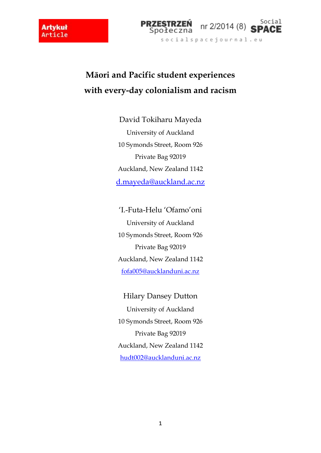$\overline{\phantom{a}}$ 



# **Māori and Pacific student experiences with every-day colonialism and racism**

David Tokiharu Mayeda University of Auckland 10 Symonds Street, Room 926 Private Bag 92019 Auckland, New Zealand 1142 [d.mayeda@auckland.ac.nz](mailto:d.mayeda@auckland.ac.nz)

'I.-Futa-Helu 'Ofamo'oni University of Auckland 10 Symonds Street, Room 926 Private Bag 92019 Auckland, New Zealand 1142 [fofa005@aucklanduni.ac.nz](mailto:fofa005@aucklanduni.ac.nz)

Hilary Dansey Dutton University of Auckland 10 Symonds Street, Room 926 Private Bag 92019 Auckland, New Zealand 1142 [hudt002@aucklanduni.ac.nz](mailto:hudt002@aucklanduni.ac.nz)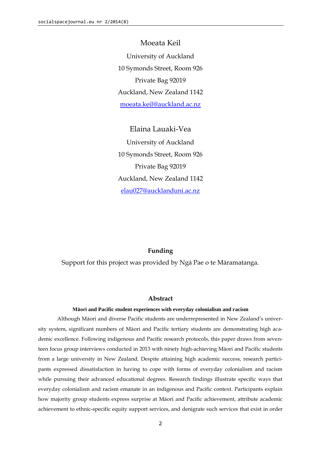Moeata Keil University of Auckland 10 Symonds Street, Room 926 Private Bag 92019 Auckland, New Zealand 1142 [moeata.keil@auckland.ac.nz](mailto:moeata.keil@auckland.ac.nz)

### Elaina Lauaki-Vea

University of Auckland 10 Symonds Street, Room 926 Private Bag 92019 Auckland, New Zealand 1142 [elau027@aucklanduni.ac.nz](mailto:elau027@aucklanduni.ac.nz)

#### **Funding**

Support for this project was provided by Ngā Pae o te Māramatanga.

#### **Abstract**

#### **Māori and Pacific student experiences with everyday colonialism and racism**

Although Māori and diverse Pacific students are underrepresented in New Zealand's university system, significant numbers of Māori and Pacific tertiary students are demonstrating high academic excellence. Following indigenous and Pacific research protocols, this paper draws from seventeen focus group interviews conducted in 2013 with ninety high-achieving Māori and Pacific students from a large university in New Zealand. Despite attaining high academic success, research participants expressed dissatisfaction in having to cope with forms of everyday colonialism and racism while pursuing their advanced educational degrees. Research findings illustrate specific ways that everyday colonialism and racism emanate in an indigenous and Pacific context. Participants explain how majority group students express surprise at Māori and Pacific achievement, attribute academic achievement to ethnic-specific equity support services, and denigrate such services that exist in order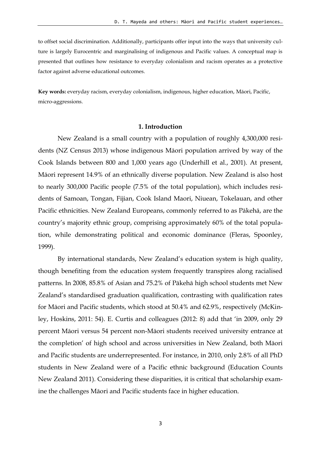to offset social discrimination. Additionally, participants offer input into the ways that university culture is largely Eurocentric and marginalising of indigenous and Pacific values. A conceptual map is presented that outlines how resistance to everyday colonialism and racism operates as a protective factor against adverse educational outcomes.

**Key words:** everyday racism, everyday colonialism, indigenous, higher education, Māori, Pacific, micro-aggressions.

#### **1. Introduction**

New Zealand is a small country with a population of roughly 4,300,000 residents (NZ Census 2013) whose indigenous Māori population arrived by way of the Cook Islands between 800 and 1,000 years ago (Underhill et al., 2001). At present, Māori represent 14.9% of an ethnically diverse population. New Zealand is also host to nearly 300,000 Pacific people (7.5% of the total population), which includes residents of Samoan, Tongan, Fijian, Cook Island Maori, Niuean, Tokelauan, and other Pacific ethnicities. New Zealand Europeans, commonly referred to as Pākehā, are the country's majority ethnic group, comprising approximately 60% of the total population, while demonstrating political and economic dominance (Fleras, Spoonley, 1999).

By international standards, New Zealand's education system is high quality, though benefiting from the education system frequently transpires along racialised patterns. In 2008, 85.8% of Asian and 75.2% of Pākehā high school students met New Zealand's standardised graduation qualification, contrasting with qualification rates for Māori and Pacific students, which stood at 50.4% and 62.9%, respectively (McKinley, Hoskins, 2011: 54). E. Curtis and colleagues (2012: 8) add that 'in 2009, only 29 percent Māori versus 54 percent non-Māori students received university entrance at the completion' of high school and across universities in New Zealand, both Māori and Pacific students are underrepresented. For instance, in 2010, only 2.8% of all PhD students in New Zealand were of a Pacific ethnic background (Education Counts New Zealand 2011). Considering these disparities, it is critical that scholarship examine the challenges Māori and Pacific students face in higher education.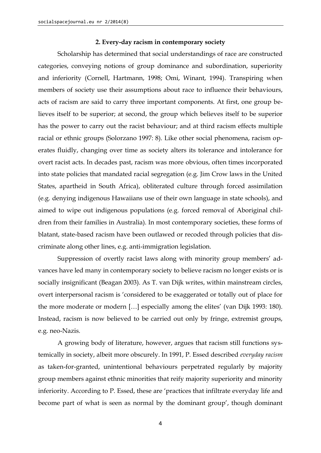#### **2. Every-day racism in contemporary society**

Scholarship has determined that social understandings of race are constructed categories, conveying notions of group dominance and subordination, superiority and inferiority (Cornell, Hartmann, 1998; Omi, Winant, 1994). Transpiring when members of society use their assumptions about race to influence their behaviours, acts of racism are said to carry three important components. At first, one group believes itself to be superior; at second, the group which believes itself to be superior has the power to carry out the racist behaviour; and at third racism effects multiple racial or ethnic groups (Solorzano 1997: 8). Like other social phenomena, racism operates fluidly, changing over time as society alters its tolerance and intolerance for overt racist acts. In decades past, racism was more obvious, often times incorporated into state policies that mandated racial segregation (e.g. Jim Crow laws in the United States, apartheid in South Africa), obliterated culture through forced assimilation (e.g*.* denying indigenous Hawaiians use of their own language in state schools), and aimed to wipe out indigenous populations (e.g*.* forced removal of Aboriginal children from their families in Australia). In most contemporary societies, these forms of blatant, state-based racism have been outlawed or recoded through policies that discriminate along other lines, e.g. anti-immigration legislation.

Suppression of overtly racist laws along with minority group members' advances have led many in contemporary society to believe racism no longer exists or is socially insignificant (Beagan 2003). As T. van Dijk writes, within mainstream circles, overt interpersonal racism is 'considered to be exaggerated or totally out of place for the more moderate or modern […] especially among the elites' (van Dijk 1993: 180). Instead, racism is now believed to be carried out only by fringe, extremist groups, e.g. neo-Nazis.

A growing body of literature, however, argues that racism still functions systemically in society, albeit more obscurely. In 1991, P. Essed described *everyday racism* as taken-for-granted, unintentional behaviours perpetrated regularly by majority group members against ethnic minorities that reify majority superiority and minority inferiority. According to P. Essed, these are 'practices that infiltrate everyday life and become part of what is seen as normal by the dominant group', though dominant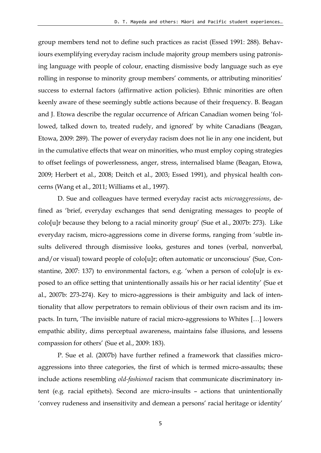group members tend not to define such practices as racist (Essed 1991: 288). Behaviours exemplifying everyday racism include majority group members using patronising language with people of colour, enacting dismissive body language such as eye rolling in response to minority group members' comments, or attributing minorities' success to external factors (affirmative action policies). Ethnic minorities are often keenly aware of these seemingly subtle actions because of their frequency. B. Beagan and J. Etowa describe the regular occurrence of African Canadian women being 'followed, talked down to, treated rudely, and ignored' by white Canadians (Beagan, Etowa, 2009: 289). The power of everyday racism does not lie in any one incident, but in the cumulative effects that wear on minorities, who must employ coping strategies to offset feelings of powerlessness, anger, stress, internalised blame (Beagan, Etowa, 2009; Herbert et al., 2008; Deitch et al., 2003; Essed 1991), and physical health concerns (Wang et al., 2011; Williams et al., 1997).

D. Sue and colleagues have termed everyday racist acts *microaggressions*, defined as 'brief, everyday exchanges that send denigrating messages to people of colo[u]r because they belong to a racial minority group' (Sue et al., 2007b: 273). Like everyday racism, micro-aggressions come in diverse forms, ranging from 'subtle insults delivered through dismissive looks, gestures and tones (verbal, nonverbal, and/or visual) toward people of colo[u]r; often automatic or unconscious' (Sue, Constantine, 2007: 137) to environmental factors, e.g. 'when a person of colo[u]r is exposed to an office setting that unintentionally assails his or her racial identity' (Sue et al., 2007b: 273-274). Key to micro-aggressions is their ambiguity and lack of intentionality that allow perpetrators to remain oblivious of their own racism and its impacts. In turn, 'The invisible nature of racial micro-aggressions to Whites […] lowers empathic ability, dims perceptual awareness, maintains false illusions, and lessens compassion for others' (Sue et al., 2009: 183).

P. Sue et al. (2007b) have further refined a framework that classifies microaggressions into three categories, the first of which is termed micro-assaults; these include actions resembling *old-fashioned* racism that communicate discriminatory intent (e.g*.* racial epithets). Second are micro-insults – actions that unintentionally 'convey rudeness and insensitivity and demean a persons' racial heritage or identity'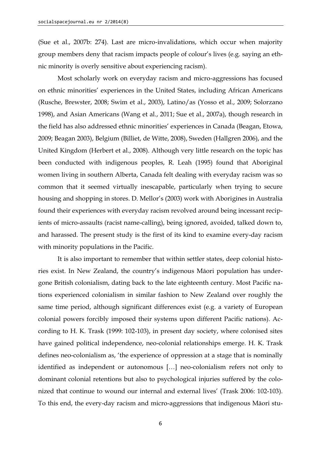(Sue et al., 2007b: 274). Last are micro-invalidations, which occur when majority group members deny that racism impacts people of colour's lives (e.g*.* saying an ethnic minority is overly sensitive about experiencing racism).

Most scholarly work on everyday racism and micro-aggressions has focused on ethnic minorities' experiences in the United States, including African Americans (Rusche, Brewster, 2008; Swim et al., 2003), Latino/as (Yosso et al., 2009; Solorzano 1998), and Asian Americans (Wang et al., 2011; Sue et al., 2007a), though research in the field has also addressed ethnic minorities' experiences in Canada (Beagan, Etowa, 2009; Beagan 2003), Belgium (Billiet, de Witte, 2008), Sweden (Hallgren 2006), and the United Kingdom (Herbert et al., 2008). Although very little research on the topic has been conducted with indigenous peoples, R. Leah (1995) found that Aboriginal women living in southern Alberta, Canada felt dealing with everyday racism was so common that it seemed virtually inescapable, particularly when trying to secure housing and shopping in stores. D. Mellor's (2003) work with Aborigines in Australia found their experiences with everyday racism revolved around being incessant recipients of micro-assaults (racist name-calling), being ignored, avoided, talked down to, and harassed. The present study is the first of its kind to examine every-day racism with minority populations in the Pacific.

It is also important to remember that within settler states, deep colonial histories exist. In New Zealand, the country's indigenous Māori population has undergone British colonialism, dating back to the late eighteenth century. Most Pacific nations experienced colonialism in similar fashion to New Zealand over roughly the same time period, although significant differences exist (e.g*.* a variety of European colonial powers forcibly imposed their systems upon different Pacific nations). According to H. K. Trask (1999: 102-103), in present day society, where colonised sites have gained political independence, neo-colonial relationships emerge. H. K. Trask defines neo-colonialism as, 'the experience of oppression at a stage that is nominally identified as independent or autonomous […] neo-colonialism refers not only to dominant colonial retentions but also to psychological injuries suffered by the colonized that continue to wound our internal and external lives' (Trask 2006: 102-103). To this end, the every-day racism and micro-aggressions that indigenous Māori stu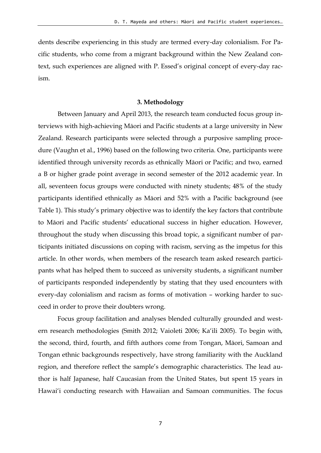dents describe experiencing in this study are termed every-day colonialism. For Pacific students, who come from a migrant background within the New Zealand context, such experiences are aligned with P. Essed's original concept of every-day racism.

#### **3. Methodology**

Between January and April 2013, the research team conducted focus group interviews with high-achieving Māori and Pacific students at a large university in New Zealand. Research participants were selected through a purposive sampling procedure (Vaughn et al., 1996) based on the following two criteria. One, participants were identified through university records as ethnically Māori or Pacific; and two, earned a B or higher grade point average in second semester of the 2012 academic year. In all, seventeen focus groups were conducted with ninety students; 48% of the study participants identified ethnically as Māori and 52% with a Pacific background (see Table 1). This study's primary objective was to identify the key factors that contribute to Māori and Pacific students' educational success in higher education. However, throughout the study when discussing this broad topic, a significant number of participants initiated discussions on coping with racism, serving as the impetus for this article. In other words, when members of the research team asked research participants what has helped them to succeed as university students, a significant number of participants responded independently by stating that they used encounters with every-day colonialism and racism as forms of motivation – working harder to succeed in order to prove their doubters wrong.

Focus group facilitation and analyses blended culturally grounded and western research methodologies (Smith 2012; Vaioleti 2006; Ka'ili 2005). To begin with, the second, third, fourth, and fifth authors come from Tongan, Māori, Samoan and Tongan ethnic backgrounds respectively, have strong familiarity with the Auckland region, and therefore reflect the sample's demographic characteristics. The lead author is half Japanese, half Caucasian from the United States, but spent 15 years in Hawai'i conducting research with Hawaiian and Samoan communities. The focus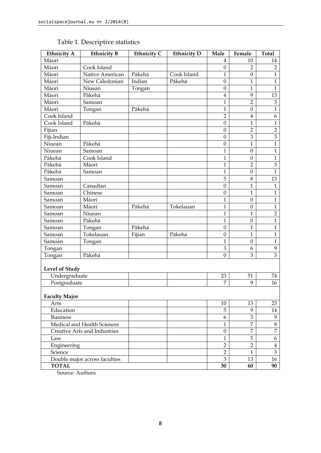| <b>Ethnicity A</b>           | <b>Ethnicity B</b>            | <b>Ethnicity C</b> | <b>Ethnicity D</b> | Male             | Female           | <b>Total</b>                |
|------------------------------|-------------------------------|--------------------|--------------------|------------------|------------------|-----------------------------|
| Māori                        |                               |                    |                    | 4                | 10               | 14                          |
| Māori                        | Cook Island                   |                    |                    | $\boldsymbol{0}$ | $\overline{2}$   | $\overline{2}$              |
| Māori                        | Native American               | Pākehā             | Cook Island        | $\mathbf{1}$     | $\boldsymbol{0}$ | $\mathbf{1}$                |
| Māori                        | New Caledonian                | Indian             | Pākehā             | $\mathbf{0}$     | 1                | $\mathbf{1}$                |
| Māori                        | Niuean                        | Tongan             |                    | $\boldsymbol{0}$ | 1                | $\mathbf{1}$                |
| Māori                        | Pākehā                        |                    |                    | $\overline{4}$   | 9                | 13                          |
| Māori                        | Samoan                        |                    |                    | $\mathbf{1}$     | $\overline{2}$   | $\ensuremath{\mathfrak{Z}}$ |
| Māori                        | Tongan                        | Pākehā             |                    | $\mathbf{1}$     | $\boldsymbol{0}$ | $\mathbf{1}$                |
| Cook Island                  |                               |                    |                    | $\overline{2}$   | $\overline{4}$   | 6                           |
| Cook Island                  | Pākehā                        |                    |                    | $\boldsymbol{0}$ | $\mathbf{1}$     | $\mathbf{1}$                |
| Fijian                       |                               |                    |                    | $\boldsymbol{0}$ | $\overline{2}$   | $\overline{2}$              |
| Fiji-Indian                  |                               |                    |                    | $\boldsymbol{0}$ | $\mathfrak{Z}$   | $\mathfrak{Z}$              |
| Niuean                       | Pākehā                        |                    |                    | $\boldsymbol{0}$ | $\overline{1}$   | $\overline{1}$              |
| Niuean                       | Samoan                        |                    |                    | 1                | $\boldsymbol{0}$ | $\mathbf{1}$                |
| Pākehā                       | Cook Island                   |                    |                    | $\mathbf{1}$     | $\mathbf{0}$     | $\mathbf{1}$                |
| Pākehā                       | Māori                         |                    |                    | $\mathbf{1}$     | $\overline{2}$   | 3                           |
| Pākehā                       | Samoan                        |                    |                    | $\mathbf{1}$     | $\mathbf{0}$     | $\overline{1}$              |
| Samoan                       |                               |                    |                    | 5                | 8                | 13                          |
| Samoan                       | Canadian                      |                    |                    | $\boldsymbol{0}$ | 1                | $\mathbf{1}$                |
| Samoan                       | Chinese                       |                    |                    | $\boldsymbol{0}$ | 1                | $\mathbf{1}$                |
| Samoan                       | Māori                         |                    |                    | 1                | $\mathbf{0}$     | $\mathbf{1}$                |
| Samoan                       | Māori                         | Pākehā             | Tokelauan          | $\mathbf{1}$     | $\mathbf{0}$     | $\mathbf{1}$                |
| Samoan                       | Niuean                        |                    |                    | $\mathbf{1}$     | $\mathbf{1}$     | $\overline{2}$              |
| Samoan                       | Pākehā                        |                    |                    | $\mathbf{1}$     | $\boldsymbol{0}$ | $\overline{1}$              |
| Samoan                       | Tongan                        | Pākehā             |                    | $\boldsymbol{0}$ | 1                | $\mathbf{1}$                |
| Samoan                       | Tokelauan                     | Fijian             | Pākehā             | $\boldsymbol{0}$ | 1                | $\mathbf{1}$                |
| Samoan                       | Tongan                        |                    |                    | 1                | $\boldsymbol{0}$ | $\mathbf{1}$                |
| Tongan                       |                               |                    |                    | $\mathfrak{Z}$   | 6                | 9                           |
| Tongan                       | Pākehā                        |                    |                    | $\boldsymbol{0}$ | 3                | 3                           |
| <b>Level of Study</b>        |                               |                    |                    |                  |                  |                             |
| Undergraduate                |                               |                    |                    | 23               | 51               | 74                          |
| Postgraduate                 |                               |                    |                    | $\overline{7}$   | 9                | 16                          |
| <b>Faculty Major</b>         |                               |                    |                    |                  |                  |                             |
| Arts                         |                               |                    |                    | 10               | 13               | 23                          |
| Education                    |                               |                    |                    | 5                | 9                | 14                          |
| <b>Business</b>              |                               |                    |                    | 6                | 3                | 9                           |
| Medical and Health Sciences  |                               |                    |                    | $\mathbf{1}$     | 7                | $\overline{8}$              |
| Creative Arts and Industries |                               |                    |                    | $\boldsymbol{0}$ | 7                | $\overline{7}$              |
| Law                          |                               |                    |                    | $\mathbf{1}$     | 5                | 6                           |
| Engineering                  |                               |                    |                    | $\overline{2}$   | $\overline{2}$   | $\overline{4}$              |
| Science                      |                               |                    |                    | $\overline{2}$   | $\mathbf{1}$     | $\mathfrak{Z}$              |
|                              | Double major across faculties |                    |                    | $\mathfrak{Z}$   | 13               | 16                          |
| <b>TOTAL</b>                 |                               |                    |                    | 30               | 60               | 90                          |

## Table 1. Descriptive statistics

Source: Authors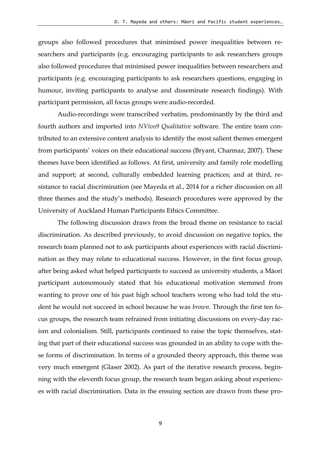groups also followed procedures that minimised power inequalities between researchers and participants (e.g. encouraging participants to ask researchers groups also followed procedures that minimised power inequalities between researchers and participants (e.g. encouraging participants to ask researchers questions, engaging in humour, inviting participants to analyse and disseminate research findings). With participant permission, all focus groups were audio-recorded.

Audio-recordings were transcribed verbatim, predominantly by the third and fourth authors and imported into *NVivo9 Qualitative* software. The entire team contributed to an extensive content analysis to identify the most salient themes emergent from participants' voices on their educational success (Bryant, Charmaz, 2007). These themes have been identified as follows. At first, university and family role modelling and support; at second, culturally embedded learning practices; and at third, resistance to racial discrimination (see Mayeda et al., 2014 for a richer discussion on all three themes and the study's methods). Research procedures were approved by the University of Auckland Human Participants Ethics Committee.

The following discussion draws from the broad theme on resistance to racial discrimination. As described previously, to avoid discussion on negative topics, the research team planned not to ask participants about experiences with racial discrimination as they may relate to educational success. However, in the first focus group, after being asked what helped participants to succeed as university students, a Māori participant autonomously stated that his educational motivation stemmed from wanting to prove one of his past high school teachers wrong who had told the student he would not succeed in school because he was *brown*. Through the first ten focus groups, the research team refrained from initiating discussions on every-day racism and colonialism. Still, participants continued to raise the topic themselves, stating that part of their educational success was grounded in an ability to cope with these forms of discrimination. In terms of a grounded theory approach, this theme was very much emergent (Glaser 2002). As part of the iterative research process, beginning with the eleventh focus group, the research team began asking about experiences with racial discrimination. Data in the ensuing section are drawn from these pro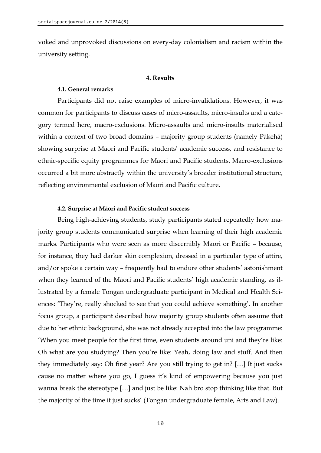voked and unprovoked discussions on every-day colonialism and racism within the university setting.

#### **4. Results**

#### **4.1. General remarks**

Participants did not raise examples of micro-invalidations. However, it was common for participants to discuss cases of micro-assaults, micro-insults and a category termed here, macro-exclusions. Micro-assaults and micro-insults materialised within a context of two broad domains – majority group students (namely Pākehā) showing surprise at Māori and Pacific students' academic success, and resistance to ethnic-specific equity programmes for Māori and Pacific students. Macro-exclusions occurred a bit more abstractly within the university's broader institutional structure, reflecting environmental exclusion of Māori and Pacific culture.

#### **4.2. Surprise at Māori and Pacific student success**

Being high-achieving students, study participants stated repeatedly how majority group students communicated surprise when learning of their high academic marks. Participants who were seen as more discernibly Māori or Pacific – because, for instance, they had darker skin complexion, dressed in a particular type of attire, and/or spoke a certain way – frequently had to endure other students' astonishment when they learned of the Māori and Pacific students' high academic standing, as illustrated by a female Tongan undergraduate participant in Medical and Health Sciences: 'They're, really shocked to see that you could achieve something'. In another focus group, a participant described how majority group students often assume that due to her ethnic background, she was not already accepted into the law programme: 'When you meet people for the first time, even students around uni and they're like: Oh what are you studying? Then you're like: Yeah, doing law and stuff. And then they immediately say: Oh first year? Are you still trying to get in? […] It just sucks cause no matter where you go, I guess it's kind of empowering because you just wanna break the stereotype […] and just be like: Nah bro stop thinking like that. But the majority of the time it just sucks' (Tongan undergraduate female, Arts and Law).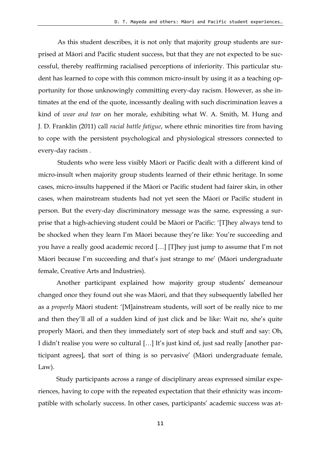As this student describes, it is not only that majority group students are surprised at Māori and Pacific student success, but that they are not expected to be successful, thereby reaffirming racialised perceptions of inferiority. This particular student has learned to cope with this common micro-insult by using it as a teaching opportunity for those unknowingly committing every-day racism. However, as she intimates at the end of the quote, incessantly dealing with such discrimination leaves a kind of *wear and tear* on her morale, exhibiting what W. A. Smith, M. Hung and J. D. Franklin (2011) call *racial battle fatigue*, where ethnic minorities tire from having to cope with the persistent psychological and physiological stressors connected to every-day racism .

Students who were less visibly Māori or Pacific dealt with a different kind of micro-insult when majority group students learned of their ethnic heritage. In some cases, micro-insults happened if the Māori or Pacific student had fairer skin, in other cases, when mainstream students had not yet seen the Māori or Pacific student in person. But the every-day discriminatory message was the same, expressing a surprise that a high-achieving student could be Māori or Pacific: '[T]hey always tend to be shocked when they learn I'm Māori because they're like: You're succeeding and you have a really good academic record […] [T]hey just jump to assume that I'm not Māori because I'm succeeding and that's just strange to me' (Māori undergraduate female, Creative Arts and Industries).

Another participant explained how majority group students' demeanour changed once they found out she was Māori, and that they subsequently labelled her as a *properly* Māori student: '[M]ainstream students, will sort of be really nice to me and then they'll all of a sudden kind of just click and be like: Wait no, she's quite properly Māori, and then they immediately sort of step back and stuff and say: Oh, I didn't realise you were so cultural […] It's just kind of, just sad really [another participant agrees], that sort of thing is so pervasive' (Māori undergraduate female, Law).

Study participants across a range of disciplinary areas expressed similar experiences, having to cope with the repeated expectation that their ethnicity was incompatible with scholarly success. In other cases, participants' academic success was at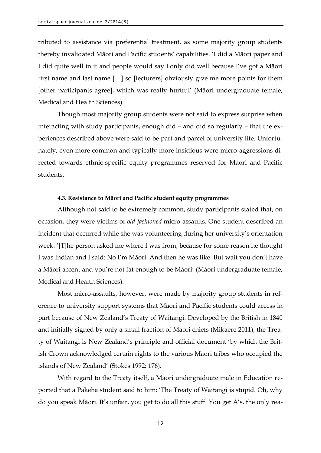tributed to assistance via preferential treatment, as some majority group students thereby invalidated Māori and Pacific students' capabilities. 'I did a Māori paper and I did quite well in it and people would say I only did well because I've got a Māori first name and last name […] so [lecturers] obviously give me more points for them [other participants agree], which was really hurtful' (Māori undergraduate female, Medical and Health Sciences).

Though most majority group students were not said to express surprise when interacting with study participants, enough did – and did so regularly – that the experiences described above were said to be part and parcel of university life. Unfortunately, even more common and typically more insidious were micro-aggressions directed towards ethnic-specific equity programmes reserved for Māori and Pacific students.

#### **4.3. Resistance to Māori and Pacific student equity programmes**

Although not said to be extremely common, study participants stated that, on occasion, they were victims of *old-fashioned* micro-assaults. One student described an incident that occurred while she was volunteering during her university's orientation week: '[T]he person asked me where I was from, because for some reason he thought I was Indian and I said: No I'm Māori. And then he was like: But wait you don't have a Māori accent and you're not fat enough to be Māori' (Māori undergraduate female, Medical and Health Sciences).

Most micro-assaults, however, were made by majority group students in reference to university support systems that Māori and Pacific students could access in part because of New Zealand's Treaty of Waitangi. Developed by the British in 1840 and initially signed by only a small fraction of Māori chiefs (Mikaere 2011), the Treaty of Waitangi is New Zealand's principle and official document 'by which the British Crown acknowledged certain rights to the various Maori tribes who occupied the islands of New Zealand' (Stokes 1992: 176).

With regard to the Treaty itself, a Māori undergraduate male in Education reported that a Pākehā student said to him: 'The Treaty of Waitangi is stupid. Oh, why do you speak Māori. It's unfair, you get to do all this stuff. You get A's, the only rea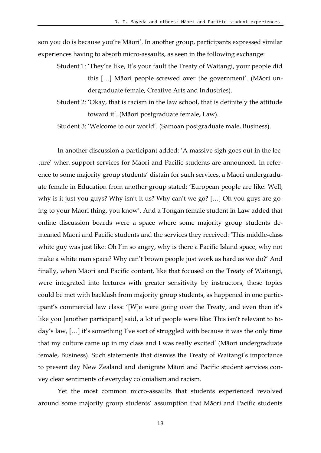son you do is because you're Māori'. In another group, participants expressed similar experiences having to absorb micro-assaults, as seen in the following exchange:

Student 1: 'They're like, It's your fault the Treaty of Waitangi, your people did this […] Māori people screwed over the government'. (Māori undergraduate female, Creative Arts and Industries).

Student 2: 'Okay, that is racism in the law school, that is definitely the attitude toward it'. (Māori postgraduate female, Law).

Student 3: 'Welcome to our world'. (Samoan postgraduate male, Business).

In another discussion a participant added: 'A massive sigh goes out in the lecture' when support services for Māori and Pacific students are announced. In reference to some majority group students' distain for such services, a Māori undergraduate female in Education from another group stated: 'European people are like: Well, why is it just you guys? Why isn't it us? Why can't we go? […] Oh you guys are going to your Māori thing, you know'. And a Tongan female student in Law added that online discussion boards were a space where some majority group students demeaned Māori and Pacific students and the services they received: 'This middle-class white guy was just like: Oh I'm so angry, why is there a Pacific Island space, why not make a white man space? Why can't brown people just work as hard as we do?' And finally, when Māori and Pacific content, like that focused on the Treaty of Waitangi, were integrated into lectures with greater sensitivity by instructors, those topics could be met with backlash from majority group students, as happened in one participant's commercial law class: '[W]e were going over the Treaty, and even then it's like you [another participant] said, a lot of people were like: This isn't relevant to today's law, […] it's something I've sort of struggled with because it was the only time that my culture came up in my class and I was really excited' (Māori undergraduate female, Business). Such statements that dismiss the Treaty of Waitangi's importance to present day New Zealand and denigrate Māori and Pacific student services convey clear sentiments of everyday colonialism and racism.

Yet the most common micro-assaults that students experienced revolved around some majority group students' assumption that Māori and Pacific students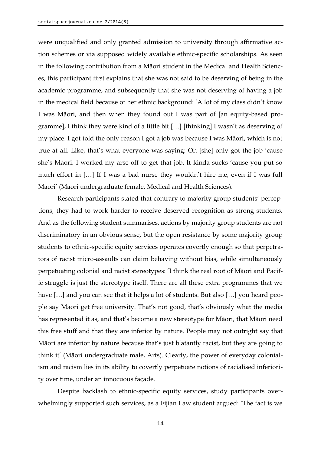were unqualified and only granted admission to university through affirmative action schemes or via supposed widely available ethnic-specific scholarships. As seen in the following contribution from a Māori student in the Medical and Health Sciences, this participant first explains that she was not said to be deserving of being in the academic programme, and subsequently that she was not deserving of having a job in the medical field because of her ethnic background: 'A lot of my class didn't know I was Māori, and then when they found out I was part of [an equity-based programme], I think they were kind of a little bit […] [thinking] I wasn't as deserving of my place. I got told the only reason I got a job was because I was Māori, which is not true at all. Like, that's what everyone was saying: Oh [she] only got the job 'cause she's Māori. I worked my arse off to get that job. It kinda sucks 'cause you put so much effort in […] If I was a bad nurse they wouldn't hire me, even if I was full Māori' (Māori undergraduate female, Medical and Health Sciences).

Research participants stated that contrary to majority group students' perceptions, they had to work harder to receive deserved recognition as strong students. And as the following student summarises, actions by majority group students are not discriminatory in an obvious sense, but the open resistance by some majority group students to ethnic-specific equity services operates covertly enough so that perpetrators of racist micro-assaults can claim behaving without bias, while simultaneously perpetuating colonial and racist stereotypes: 'I think the real root of Māori and Pacific struggle is just the stereotype itself. There are all these extra programmes that we have [...] and you can see that it helps a lot of students. But also [...] you heard people say Māori get free university. That's not good, that's obviously what the media has represented it as, and that's become a new stereotype for Māori, that Māori need this free stuff and that they are inferior by nature. People may not outright say that Māori are inferior by nature because that's just blatantly racist, but they are going to think it' (Māori undergraduate male, Arts). Clearly, the power of everyday colonialism and racism lies in its ability to covertly perpetuate notions of racialised inferiority over time, under an innocuous façade.

Despite backlash to ethnic-specific equity services, study participants overwhelmingly supported such services, as a Fijian Law student argued: 'The fact is we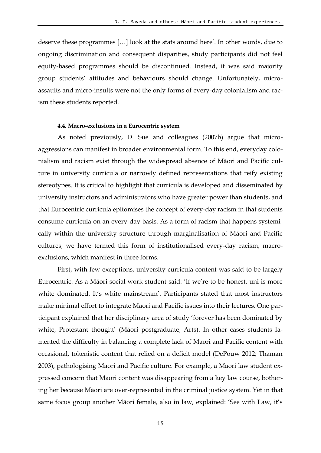deserve these programmes […] look at the stats around here'. In other words, due to ongoing discrimination and consequent disparities, study participants did not feel equity-based programmes should be discontinued. Instead, it was said majority group students' attitudes and behaviours should change. Unfortunately, microassaults and micro-insults were not the only forms of every-day colonialism and racism these students reported.

#### **4.4. Macro-exclusions in a Eurocentric system**

As noted previously, D. Sue and colleagues (2007b) argue that microaggressions can manifest in broader environmental form. To this end, everyday colonialism and racism exist through the widespread absence of Māori and Pacific culture in university curricula or narrowly defined representations that reify existing stereotypes. It is critical to highlight that curricula is developed and disseminated by university instructors and administrators who have greater power than students, and that Eurocentric curricula epitomises the concept of every-day racism in that students consume curricula on an every-day basis. As a form of racism that happens systemically within the university structure through marginalisation of Māori and Pacific cultures, we have termed this form of institutionalised every-day racism, macroexclusions, which manifest in three forms.

First, with few exceptions, university curricula content was said to be largely Eurocentric. As a Māori social work student said: 'If we're to be honest, uni is more white dominated. It's white mainstream'. Participants stated that most instructors make minimal effort to integrate Māori and Pacific issues into their lectures. One participant explained that her disciplinary area of study 'forever has been dominated by white, Protestant thought' (Māori postgraduate, Arts). In other cases students lamented the difficulty in balancing a complete lack of Māori and Pacific content with occasional, tokenistic content that relied on a deficit model (DePouw 2012; Thaman 2003), pathologising Māori and Pacific culture. For example, a Māori law student expressed concern that Māori content was disappearing from a key law course, bothering her because Māori are over-represented in the criminal justice system. Yet in that same focus group another Māori female, also in law, explained: 'See with Law, it's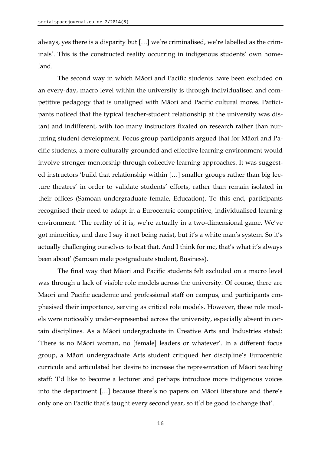always, yes there is a disparity but […] we're criminalised, we're labelled as the criminals'. This is the constructed reality occurring in indigenous students' own homeland.

The second way in which Māori and Pacific students have been excluded on an every-day, macro level within the university is through individualised and competitive pedagogy that is unaligned with Māori and Pacific cultural mores. Participants noticed that the typical teacher-student relationship at the university was distant and indifferent, with too many instructors fixated on research rather than nurturing student development. Focus group participants argued that for Māori and Pacific students, a more culturally-grounded and effective learning environment would involve stronger mentorship through collective learning approaches. It was suggested instructors 'build that relationship within […] smaller groups rather than big lecture theatres' in order to validate students' efforts, rather than remain isolated in their offices (Samoan undergraduate female, Education). To this end, participants recognised their need to adapt in a Eurocentric competitive, individualised learning environment: 'The reality of it is, we're actually in a two-dimensional game. We've got minorities, and dare I say it not being racist, but it's a white man's system. So it's actually challenging ourselves to beat that. And I think for me, that's what it's always been about' (Samoan male postgraduate student, Business).

The final way that Māori and Pacific students felt excluded on a macro level was through a lack of visible role models across the university. Of course, there are Māori and Pacific academic and professional staff on campus, and participants emphasised their importance, serving as critical role models. However, these role models were noticeably under-represented across the university, especially absent in certain disciplines. As a Māori undergraduate in Creative Arts and Industries stated: 'There is no Māori woman, no [female] leaders or whatever'. In a different focus group, a Māori undergraduate Arts student critiqued her discipline's Eurocentric curricula and articulated her desire to increase the representation of Māori teaching staff: 'I'd like to become a lecturer and perhaps introduce more indigenous voices into the department […] because there's no papers on Māori literature and there's only one on Pacific that's taught every second year, so it'd be good to change that'.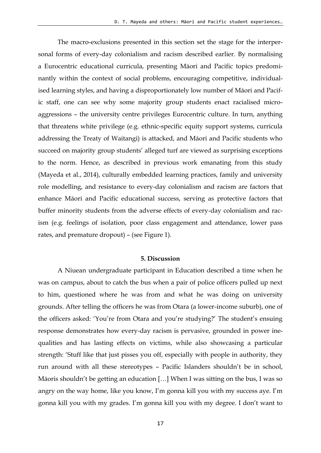The macro-exclusions presented in this section set the stage for the interpersonal forms of every-day colonialism and racism described earlier. By normalising a Eurocentric educational curricula, presenting Māori and Pacific topics predominantly within the context of social problems, encouraging competitive, individualised learning styles, and having a disproportionately low number of Māori and Pacific staff, one can see why some majority group students enact racialised microaggressions – the university centre privileges Eurocentric culture. In turn, anything that threatens white privilege (e.g*.* ethnic-specific equity support systems, curricula addressing the Treaty of Waitangi) is attacked, and Māori and Pacific students who succeed on majority group students' alleged turf are viewed as surprising exceptions to the norm. Hence, as described in previous work emanating from this study (Mayeda et al., 2014), culturally embedded learning practices, family and university role modelling, and resistance to every-day colonialism and racism are factors that enhance Māori and Pacific educational success, serving as protective factors that buffer minority students from the adverse effects of every-day colonialism and racism (e.g*.* feelings of isolation, poor class engagement and attendance, lower pass rates, and premature dropout) – (see Figure 1).

#### **5. Discussion**

A Niuean undergraduate participant in Education described a time when he was on campus, about to catch the bus when a pair of police officers pulled up next to him, questioned where he was from and what he was doing on university grounds. After telling the officers he was from Otara (a lower-income suburb), one of the officers asked: 'You're from Otara and you're studying?' The student's ensuing response demonstrates how every-day racism is pervasive, grounded in power inequalities and has lasting effects on victims, while also showcasing a particular strength: 'Stuff like that just pisses you off, especially with people in authority, they run around with all these stereotypes – Pacific Islanders shouldn't be in school, Māoris shouldn't be getting an education […] When I was sitting on the bus, I was so angry on the way home, like you know, I'm gonna kill you with my success aye. I'm gonna kill you with my grades. I'm gonna kill you with my degree. I don't want to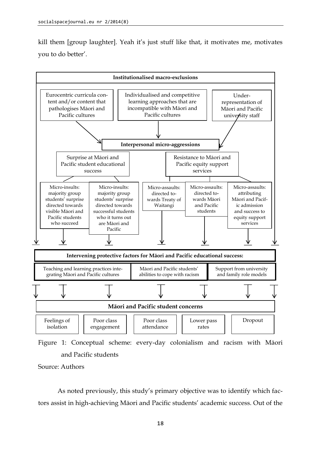kill them [group laughter]. Yeah it's just stuff like that, it motivates me, motivates you to do better'.



Figure 1: Conceptual scheme: every-day colonialism and racism with Māori and Pacific students

Source: Authors

As noted previously, this study's primary objective was to identify which factors assist in high-achieving Māori and Pacific students' academic success. Out of the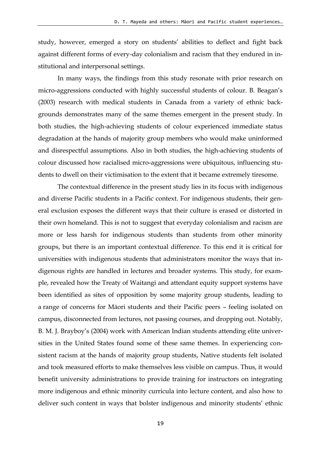study, however, emerged a story on students' abilities to deflect and fight back against different forms of every-day colonialism and racism that they endured in institutional and interpersonal settings.

In many ways, the findings from this study resonate with prior research on micro-aggressions conducted with highly successful students of colour. B. Beagan's (2003) research with medical students in Canada from a variety of ethnic backgrounds demonstrates many of the same themes emergent in the present study. In both studies, the high-achieving students of colour experienced immediate status degradation at the hands of majority group members who would make uninformed and disrespectful assumptions. Also in both studies, the high-achieving students of colour discussed how racialised micro-aggressions were ubiquitous, influencing students to dwell on their victimisation to the extent that it became extremely tiresome.

The contextual difference in the present study lies in its focus with indigenous and diverse Pacific students in a Pacific context. For indigenous students, their general exclusion exposes the different ways that their culture is erased or distorted in their own homeland. This is not to suggest that everyday colonialism and racism are more or less harsh for indigenous students than students from other minority groups, but there is an important contextual difference. To this end it is critical for universities with indigenous students that administrators monitor the ways that indigenous rights are handled in lectures and broader systems. This study, for example, revealed how the Treaty of Waitangi and attendant equity support systems have been identified as sites of opposition by some majority group students, leading to a range of concerns for Māori students and their Pacific peers – feeling isolated on campus, disconnected from lectures, not passing courses, and dropping out. Notably, B. M. J. Brayboy's (2004) work with American Indian students attending elite universities in the United States found some of these same themes. In experiencing consistent racism at the hands of majority group students, Native students felt isolated and took measured efforts to make themselves less visible on campus. Thus, it would benefit university administrations to provide training for instructors on integrating more indigenous and ethnic minority curricula into lecture content, and also how to deliver such content in ways that bolster indigenous and minority students' ethnic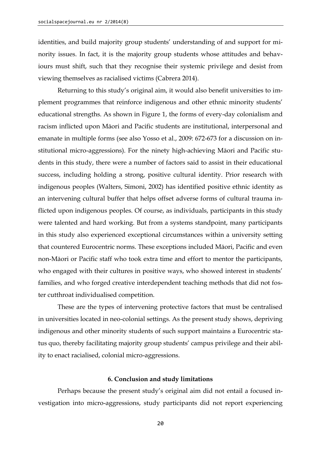identities, and build majority group students' understanding of and support for minority issues. In fact, it is the majority group students whose attitudes and behaviours must shift, such that they recognise their systemic privilege and desist from viewing themselves as racialised victims (Cabrera 2014).

Returning to this study's original aim, it would also benefit universities to implement programmes that reinforce indigenous and other ethnic minority students' educational strengths. As shown in Figure 1, the forms of every-day colonialism and racism inflicted upon Māori and Pacific students are institutional, interpersonal and emanate in multiple forms (see also Yosso et al., 2009: 672-673 for a discussion on institutional micro-aggressions). For the ninety high-achieving Māori and Pacific students in this study, there were a number of factors said to assist in their educational success, including holding a strong, positive cultural identity. Prior research with indigenous peoples (Walters, Simoni, 2002) has identified positive ethnic identity as an intervening cultural buffer that helps offset adverse forms of cultural trauma inflicted upon indigenous peoples. Of course, as individuals, participants in this study were talented and hard working. But from a systems standpoint, many participants in this study also experienced exceptional circumstances within a university setting that countered Eurocentric norms. These exceptions included Māori, Pacific and even non-Māori or Pacific staff who took extra time and effort to mentor the participants, who engaged with their cultures in positive ways, who showed interest in students' families, and who forged creative interdependent teaching methods that did not foster cutthroat individualised competition.

These are the types of intervening protective factors that must be centralised in universities located in neo-colonial settings. As the present study shows, depriving indigenous and other minority students of such support maintains a Eurocentric status quo, thereby facilitating majority group students' campus privilege and their ability to enact racialised, colonial micro-aggressions.

#### **6. Conclusion and study limitations**

Perhaps because the present study's original aim did not entail a focused investigation into micro-aggressions, study participants did not report experiencing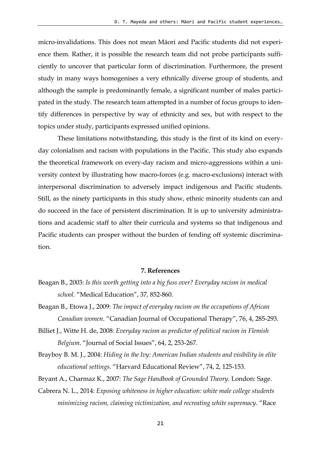micro-invalidations. This does not mean Māori and Pacific students did not experience them. Rather, it is possible the research team did not probe participants sufficiently to uncover that particular form of discrimination. Furthermore, the present study in many ways homogenises a very ethnically diverse group of students, and although the sample is predominantly female, a significant number of males participated in the study. The research team attempted in a number of focus groups to identify differences in perspective by way of ethnicity and sex, but with respect to the topics under study, participants expressed unified opinions.

These limitations notwithstanding, this study is the first of its kind on everyday colonialism and racism with populations in the Pacific. This study also expands the theoretical framework on every-day racism and micro-aggressions within a university context by illustrating how macro-forces (e.g. macro-exclusions) interact with interpersonal discrimination to adversely impact indigenous and Pacific students. Still, as the ninety participants in this study show, ethnic minority students can and do succeed in the face of persistent discrimination. It is up to university administrations and academic staff to alter their curricula and systems so that indigenous and Pacific students can prosper without the burden of fending off systemic discrimination.

#### **7. References**

- Beagan B., 2003: *Is this worth getting into a big fuss over? Everyday racism in medical school.* "Medical Education", 37*,* 852-860.
- Beagan B., Etowa J., 2009: *The impact of everyday racism on the occupations of African Canadian women*. "Canadian Journal of Occupational Therapy", 76, 4, 285-293.
- Billiet J., Witte H. de, 2008: *Everyday racism as predictor of political racism in Flemish Belgium*. "Journal of Social Issues", 64, 2, 253-267.
- Brayboy B. M. J., 2004: *Hiding in the Ivy: American Indian students and visibility in elite educational settings.* "Harvard Educational Review", 74, 2, 125-153.

Bryant A., Charmaz K., 2007: *The Sage Handbook of Grounded Theory*. London: Sage.

Cabrera N. L., 2014: *Exposing whiteness in higher education: white male college students minimizing racism, claiming victimization, and recreating white supremacy*. "Race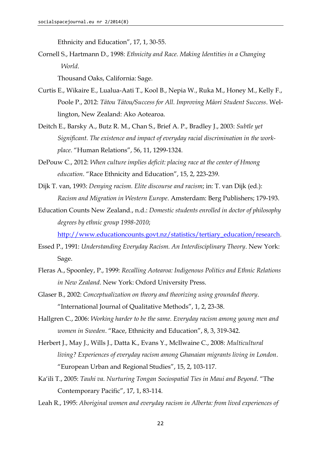Ethnicity and Education", 17, 1, 30-55.

Cornell S., Hartmann D., 1998: *Ethnicity and Race. Making Identities in a Changing World*.

Thousand Oaks, California: Sage.

- Curtis E., Wikaire E., Lualua-Aati T., Kool B., Nepia W., Ruka M., Honey M., Kelly F., Poole P., 2012: *Tātou Tātou/Success for All. Improving Māori Student Success*. Wellington, New Zealand: Ako Aotearoa.
- Deitch E., Barsky A., Butz R. M., Chan S., Brief A. P., Bradley J., 2003: *Subtle yet Significant. The existence and impact of everyday racial discrimination in the workplace*. "Human Relations", 56, 11, 1299-1324.
- DePouw C., 2012: *When culture implies deficit: placing race at the center of Hmong education*. "Race Ethnicity and Education", 15, 2, 223-239.
- Dijk T. van, 1993: *Denying racism. Elite discourse and racism*; in: T. van Dijk (ed.): *Racism and Migration in Western Europe*. Amsterdam: Berg Publishers; 179-193.
- Education Counts New Zealand., n.d.: *Domestic students enrolled in doctor of philosophy degrees by ethnic group 1998-2010*;

[http://www.educationcounts.govt.nz/statistics/tertiary\\_education/research](http://www.educationcounts.govt.nz/statistics/tertiary_education/research).

- Essed P., 1991: *Understanding Everyday Racism. An Interdisciplinary Theory*. New York: Sage.
- Fleras A., Spoonley, P., 1999: *Recalling Aotearoa: Indigenous Politics and Ethnic Relations in New Zealand*. New York: Oxford University Press.
- Glaser B., 2002: *Conceptualization on theory and theorizing using grounded theory*. "International Journal of Qualitative Methods", 1, 2, 23-38.
- Hallgren C., 2006: *Working harder to be the same. Everyday racism among young men and women in Sweden*. "Race, Ethnicity and Education", 8, 3, 319-342.
- Herbert J., May J., Wills J., Datta K., Evans Y., McIlwaine C., 2008: *Multicultural living? Experiences of everyday racism among Ghanaian migrants living in London*. "European Urban and Regional Studies", 15, 2, 103-117.
- Ka'ili T., 2005: *Tauhi va. Nurturing Tongan Sociospatial Ties in Maui and Beyond*. "The Contemporary Pacific", 17, 1, 83-114.
- Leah R., 1995: *Aboriginal women and everyday racism in Alberta: from lived experiences of*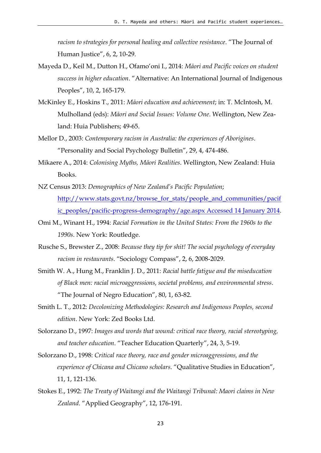*racism to strategies for personal healing and collective resistance*. "The Journal of Human Justice", 6, 2, 10-29.

- Mayeda D., Keil M., Dutton H., Ofamo'oni I., 2014: *Māori and Pacific voices on student success in higher education*. "Alternative: An International Journal of Indigenous Peoples", 10, 2, 165-179.
- McKinley E., Hoskins T., 2011: *Māori education and achievement*; in: T. McIntosh, M. Mulholland (eds): *Māori and Social Issues: Volume One*. Wellington, New Zealand: Huia Publishers; 49-65.
- Mellor D., 2003: *Contemporary racism in Australia: the experiences of Aborigines*. "Personality and Social Psychology Bulletin", 29, 4, 474-486.
- Mikaere A., 2014: *Colonising Myths, Māori Realities*. Wellington, New Zealand: Huia Books.
- NZ Census 2013: *Demographics of New Zealand's Pacific Population*; [http://www.stats.govt.nz/browse\\_for\\_stats/people\\_and\\_communities/pacif](http://www.stats.govt.nz/browse_for_stats/people_and_communities/pacific_peoples/pacific-progress-demography/age.aspx%20Accessed%2014%20January%202014) [ic\\_peoples/pacific-progress-demography/age.aspx Accessed 14 January 2014.](http://www.stats.govt.nz/browse_for_stats/people_and_communities/pacific_peoples/pacific-progress-demography/age.aspx%20Accessed%2014%20January%202014)
- Omi M., Winant H., 1994: *Racial Formation in the United States: From the 1960s to the 1990s*. New York: Routledge.
- Rusche S., Brewster Z., 2008: *Because they tip for shit! The social psychology of everyday racism in restaurants*. "Sociology Compass", 2, 6, 2008-2029.
- Smith W. A., Hung M., Franklin J. D., 2011: *Racial battle fatigue and the miseducation of Black men: racial microaggressions, societal problems, and environmental stress*. "The Journal of Negro Education", 80, 1, 63-82.
- Smith L. T., 2012: *Decolonizing Methodologies: Research and Indigenous Peoples, second edition*. New York: Zed Books Ltd.
- Solorzano D., 1997: *Images and words that wound: critical race theory, racial stereotyping, and teacher education*. "Teacher Education Quarterly", 24, 3, 5-19.
- Solorzano D., 1998: *Critical race theory, race and gender microaggressions, and the experience of Chicana and Chicano scholars*. "Qualitative Studies in Education", 11, 1, 121-136.
- Stokes E., 1992: *The Treaty of Waitangi and the Waitangi Tribunal: Maori claims in New Zealand*. "Applied Geography", 12, 176-191.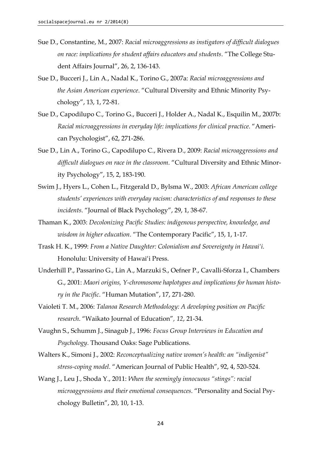- Sue D., Constantine, M., 2007: *Racial microaggressions as instigators of difficult dialogues on race: implications for student affairs educators and students*. "The College Student Affairs Journal", 26, 2, 136-143.
- Sue D., Bucceri J., Lin A., Nadal K., Torino G., 2007a: *Racial microaggressions and the Asian American experience*. "Cultural Diversity and Ethnic Minority Psychology", 13, 1, 72-81.
- Sue D., Capodilupo C., Torino G., Bucceri J., Holder A., Nadal K., Esquilin M., 2007b: *Racial microaggressions in everyday life: implications for clinical practice*. "American Psychologist", 62, 271-286.
- Sue D., Lin A., Torino G., Capodilupo C., Rivera D., 2009: *Racial microaggressions and difficult dialogues on race in the classroom*. "Cultural Diversity and Ethnic Minority Psychology", 15, 2, 183-190.
- Swim J., Hyers L., Cohen L., Fitzgerald D., Bylsma W., 2003: *African American college students' experiences with everyday racism: characteristics of and responses to these incidents*. "Journal of Black Psychology", 29, 1, 38-67.
- Thaman K., 2003: *Decolonizing Pacific Studies: indigenous perspective, knowledge, and wisdom in higher education*. "The Contemporary Pacific", 15, 1, 1-17.
- Trask H. K., 1999: *From a Native Daughter: Colonialism and Sovereignty in Hawai'i.*  Honolulu: University of Hawai'i Press.
- Underhill P., Passarino G., Lin A., Marzuki S., Oefner P., Cavalli-Sforza I., Chambers G., 2001: *Maori origins, Y-chromosome haplotypes and implications for human history in the Pacific*. "Human Mutation", 17, 271-280.
- Vaioleti T. M., 2006: *Talanoa Research Methodology: A developing position on Pacific research*. "Waikato Journal of Education"*, 12*, 21-34.
- Vaughn S., Schumm J., Sinagub J., 1996: *Focus Group Interviews in Education and Psychology*. Thousand Oaks: Sage Publications.
- Walters K., Simoni J., 2002: *Reconceptualizing native women's health: an "indigenist" stress-coping model*. "American Journal of Public Health", 92, 4, 520-524.
- Wang J., Leu J., Shoda Y., 2011: *When the seemingly innocuous "stings": racial microaggressions and their emotional consequences*. "Personality and Social Psychology Bulletin", 20, 10, 1-13.